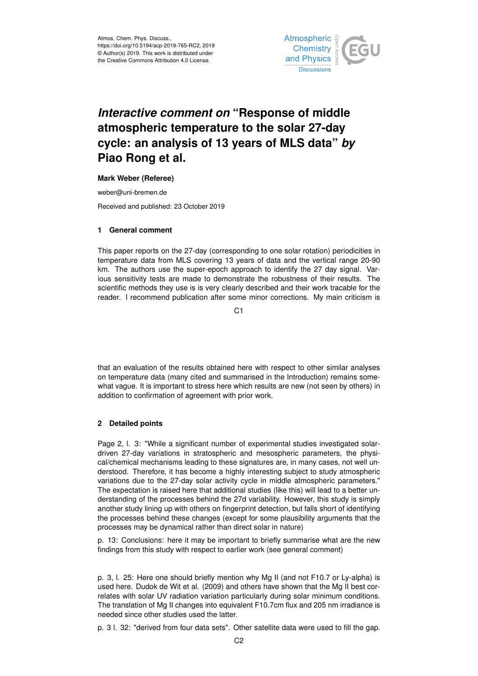

## *Interactive comment on* **"Response of middle atmospheric temperature to the solar 27-day cycle: an analysis of 13 years of MLS data"** *by* **Piao Rong et al.**

## **Mark Weber (Referee)**

weber@uni-bremen.de

Received and published: 23 October 2019

## **1 General comment**

This paper reports on the 27-day (corresponding to one solar rotation) periodicities in temperature data from MLS covering 13 years of data and the vertical range 20-90 km. The authors use the super-epoch approach to identify the 27 day signal. Various sensitivity tests are made to demonstrate the robustness of their results. The scientific methods they use is is very clearly described and their work tracable for the reader. I recommend publication after some minor corrections. My main criticism is

 $C<sub>1</sub>$ 

that an evaluation of the results obtained here with respect to other similar analyses on temperature data (many cited and summarised in the Introduction) remains somewhat vague. It is important to stress here which results are new (not seen by others) in addition to confirmation of agreement with prior work.

## **2 Detailed points**

Page 2, l. 3: "While a significant number of experimental studies investigated solardriven 27-day variations in stratospheric and mesospheric parameters, the physical/chemical mechanisms leading to these signatures are, in many cases, not well understood. Therefore, it has become a highly interesting subject to study atmospheric variations due to the 27-day solar activity cycle in middle atmospheric parameters." The expectation is raised here that additional studies (like this) will lead to a better understanding of the processes behind the 27d variability. However, this study is simply another study lining up with others on fingerprint detection, but falls short of identifying the processes behind these changes (except for some plausibility arguments that the processes may be dynamical rather than direct solar in nature)

p. 13: Conclusions: here it may be important to briefly summarise what are the new findings from this study with respect to earlier work (see general comment)

p. 3, l. 25: Here one should briefly mention why Mg II (and not F10.7 or Ly-alpha) is used here. Dudok de Wit et al. (2009) and others have shown that the Mg II best correlates with solar UV radiation variation particularly during solar minimum conditions. The translation of Mg II changes into equivalent F10.7cm flux and 205 nm irradiance is needed since other studies used the latter.

p. 3 l. 32: "derived from four data sets". Other satellite data were used to fill the gap.